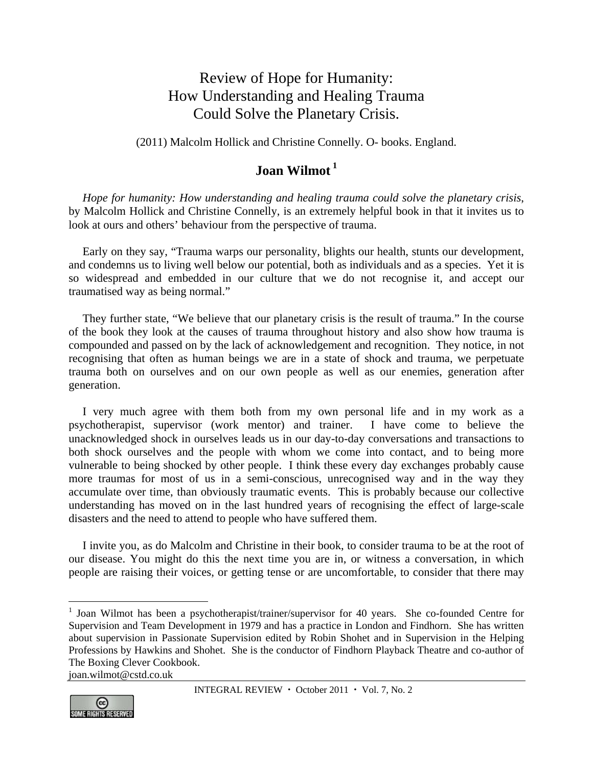## Review of Hope for Humanity: How Understanding and Healing Trauma Could Solve the Planetary Crisis.

(2011) Malcolm Hollick and Christine Connelly. O- books. England.

## **Joan Wilmot<sup>1</sup>**

*Hope for humanity: How understanding and healing trauma could solve the planetary crisis*, by Malcolm Hollick and Christine Connelly, is an extremely helpful book in that it invites us to look at ours and others' behaviour from the perspective of trauma.

Early on they say, "Trauma warps our personality, blights our health, stunts our development, and condemns us to living well below our potential, both as individuals and as a species. Yet it is so widespread and embedded in our culture that we do not recognise it, and accept our traumatised way as being normal."

They further state, "We believe that our planetary crisis is the result of trauma." In the course of the book they look at the causes of trauma throughout history and also show how trauma is compounded and passed on by the lack of acknowledgement and recognition. They notice, in not recognising that often as human beings we are in a state of shock and trauma, we perpetuate trauma both on ourselves and on our own people as well as our enemies, generation after generation.

I very much agree with them both from my own personal life and in my work as a psychotherapist, supervisor (work mentor) and trainer. I have come to believe the unacknowledged shock in ourselves leads us in our day-to-day conversations and transactions to both shock ourselves and the people with whom we come into contact, and to being more vulnerable to being shocked by other people. I think these every day exchanges probably cause more traumas for most of us in a semi-conscious, unrecognised way and in the way they accumulate over time, than obviously traumatic events. This is probably because our collective understanding has moved on in the last hundred years of recognising the effect of large-scale disasters and the need to attend to people who have suffered them.

I invite you, as do Malcolm and Christine in their book, to consider trauma to be at the root of our disease. You might do this the next time you are in, or witness a conversation, in which people are raising their voices, or getting tense or are uncomfortable, to consider that there may

joan.wilmot@cstd.co.uk



 $\overline{a}$ 

<sup>&</sup>lt;sup>1</sup> Joan Wilmot has been a psychotherapist/trainer/supervisor for 40 years. She co-founded Centre for Supervision and Team Development in 1979 and has a practice in London and Findhorn. She has written about supervision in Passionate Supervision edited by Robin Shohet and in Supervision in the Helping Professions by Hawkins and Shohet. She is the conductor of Findhorn Playback Theatre and co-author of The Boxing Clever Cookbook.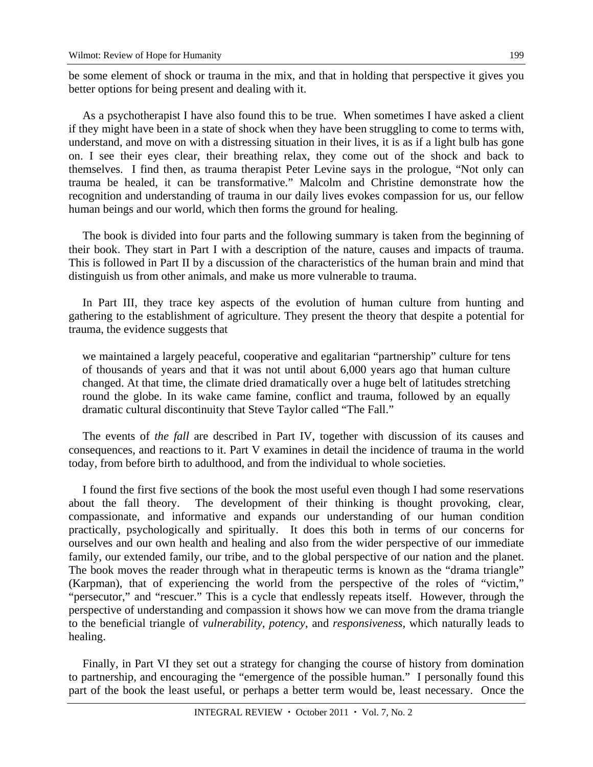be some element of shock or trauma in the mix, and that in holding that perspective it gives you better options for being present and dealing with it.

As a psychotherapist I have also found this to be true. When sometimes I have asked a client if they might have been in a state of shock when they have been struggling to come to terms with, understand, and move on with a distressing situation in their lives, it is as if a light bulb has gone on. I see their eyes clear, their breathing relax, they come out of the shock and back to themselves. I find then, as trauma therapist Peter Levine says in the prologue, "Not only can trauma be healed, it can be transformative." Malcolm and Christine demonstrate how the recognition and understanding of trauma in our daily lives evokes compassion for us, our fellow human beings and our world, which then forms the ground for healing.

The book is divided into four parts and the following summary is taken from the beginning of their book. They start in Part I with a description of the nature, causes and impacts of trauma. This is followed in Part II by a discussion of the characteristics of the human brain and mind that distinguish us from other animals, and make us more vulnerable to trauma.

In Part III, they trace key aspects of the evolution of human culture from hunting and gathering to the establishment of agriculture. They present the theory that despite a potential for trauma, the evidence suggests that

we maintained a largely peaceful, cooperative and egalitarian "partnership" culture for tens of thousands of years and that it was not until about 6,000 years ago that human culture changed. At that time, the climate dried dramatically over a huge belt of latitudes stretching round the globe. In its wake came famine, conflict and trauma, followed by an equally dramatic cultural discontinuity that Steve Taylor called "The Fall."

The events of *the fall* are described in Part IV, together with discussion of its causes and consequences, and reactions to it. Part V examines in detail the incidence of trauma in the world today, from before birth to adulthood, and from the individual to whole societies.

I found the first five sections of the book the most useful even though I had some reservations about the fall theory. The development of their thinking is thought provoking, clear, compassionate, and informative and expands our understanding of our human condition practically, psychologically and spiritually. It does this both in terms of our concerns for ourselves and our own health and healing and also from the wider perspective of our immediate family, our extended family, our tribe, and to the global perspective of our nation and the planet. The book moves the reader through what in therapeutic terms is known as the "drama triangle" (Karpman), that of experiencing the world from the perspective of the roles of "victim," "persecutor," and "rescuer." This is a cycle that endlessly repeats itself. However, through the perspective of understanding and compassion it shows how we can move from the drama triangle to the beneficial triangle of *vulnerability, potency*, and *responsiveness,* which naturally leads to healing.

Finally, in Part VI they set out a strategy for changing the course of history from domination to partnership, and encouraging the "emergence of the possible human." I personally found this part of the book the least useful, or perhaps a better term would be, least necessary. Once the